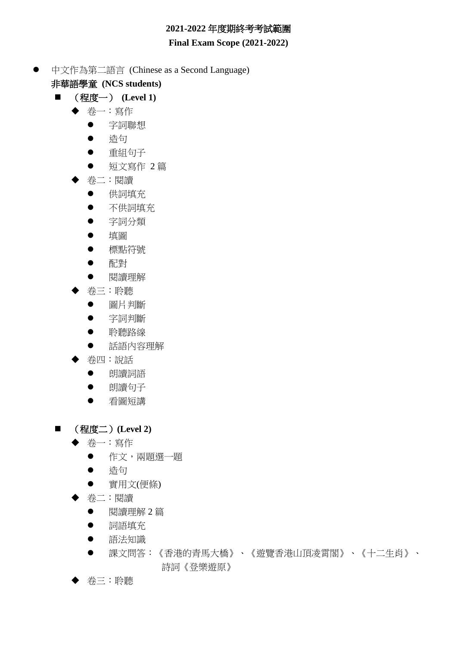# **2021-2022** 年度期終考考試範圍

#### **Final Exam Scope (2021-2022)**

- 中文作為第二語言 (Chinese as a Second Language) 非華語學童 **(NCS students)**
	- (程度一) (Level 1)
		- 卷一:寫作
			- 字詞聯想
			- 造句
			- 重組句子
			- 短文寫作 2 篇
		- 卷二:閱讀
			- 供詞填充
			- 不供詞填充
			- 字詞分類
			- 填圖
			- 標點符號
			- 配對
			- 閲讀理解
		- 卷三:聆聽
			- 圖片判斷
			- 字詞判斷
			- 聆聽路線
			- 話語內容理解
		- 卷四:說話
			- 朗讀詞語
			- 朗讀句子
			- 看圖短講
	- (程度二)**(Level 2)**
		- ◆ 卷一:寫作
			- 作文,兩題選一題
			- 浩句
			- 實用文(便條)
		- 卷二:閱讀
			- 閱讀理解 2 篇
			- 詞語填充
			- 語法知識
			- 課文問答:《香港的青馬大橋》、《遊覽香港山頂凌霄閣》、《十二生肖》、 詩詞《登樂遊原》
		- ◆ 卷三:聆聽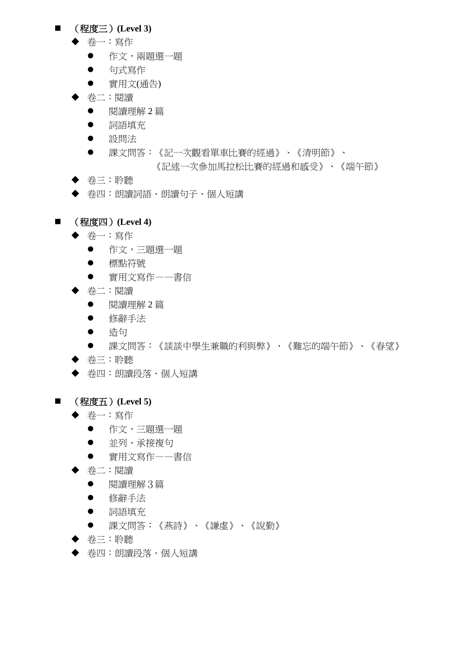### ■ (程度三) (Level 3)

- 卷一:寫作
	- 作文,兩題選一題
	- 句式寫作
	- 實用文(通告)
- 卷二:閱讀
	- 閱讀理解 2 篇
	- 詞語填充
	- 設問法
	- 課文問答:《記一次觀看單車比賽的經過》、《清明節》、 《記述一次參加馬拉松比賽的經過和感受》、《端午節》
- ◆ 卷三:聆聽
- ◆ 卷四:朗讀詞語、朗讀句子、個人短講

# ■ (程度四) (Level 4)

- ◆ 卷一:寫作
	- 作文,三題選一題
	- 標點符號
	- 實用文寫作——書信
- 卷二:閱讀
	- 閲讀理解2篇
	- 修辭手法
	- 浩句
	- 課文問答:《談談中學生兼職的利與弊》、《難忘的端午節》、《春望》
- ◆ 卷三:聆聽
- 卷四:朗讀段落、個人短講
- (程度五) (Level 5)
	- ◆ 卷一:寫作
		- 作文,三題選一題
		- 並列、承接複句
		- 實用文寫作——書信
	- 卷二:閱讀
		- 閱讀理解3篇
		- 修辭手法
		- 詞語填充
		- 課文問答:《燕詩》、《謙虛》、《說勤》
	- ◆ 卷三:聆聽
	- 卷四:朗讀段落、個人短講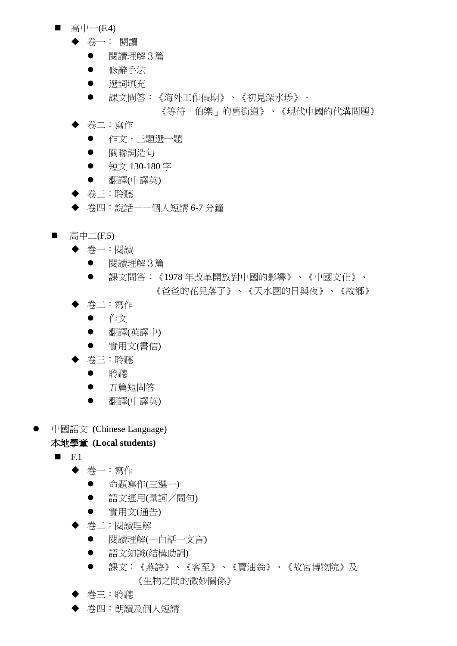- 高中一 $(F.4)$ 
	- 卷一: 閱讀
		- 閱讀理解3篇
		- 修辭手法
		- 選詞填充
		- 課文問答:《海外工作假期》、《初見深水埗》、

《等待「伯樂」的舊街道》、《現代中國的代溝問題》

- 卷二:寫作
	- 作文,三題選一題
	- 關聯詞造句
	- 短文 130-180 字
	- 翻譯(中譯英)
- ◆ 卷三:聆聽
- ◆ 卷四:說話——個人短講 6-7 分鐘
- 高中二 $(F.5)$ 
	- 卷一:閱讀
		- 閱讀理解3篇
		- 課文問答:《1978 年改革開放對中國的影響》、《中國文化》、 《爸爸的花兒落了》、《天水圍的日與夜》、《故鄉》
	- ◆ 卷二:寫作
		- 作文
		- 翻譯(英譯中)
		- 實用文(書信)
	- ◆ 卷三:聆聽
		- 聆聽
		- 五篇短問答
		- 翻譯(中譯英)
- 中國語文 (Chinese Language)

- $\blacksquare$ F.1
	- 卷一:寫作
		- 命題寫作(三選一)
		- 語文運用(量詞/問句)
		- 實用文(通告)
	- 卷二:閱讀理解
		- 閱讀理解(一白話一文言)
		- 語文知識(結構助詞)
		- 課文:《燕詩》、《客至》、《賣油翁》、《故宮博物院》及 《生物之間的微妙關係》
	- ◆ 卷三:聆聽
	- 卷四:朗讀及個人短講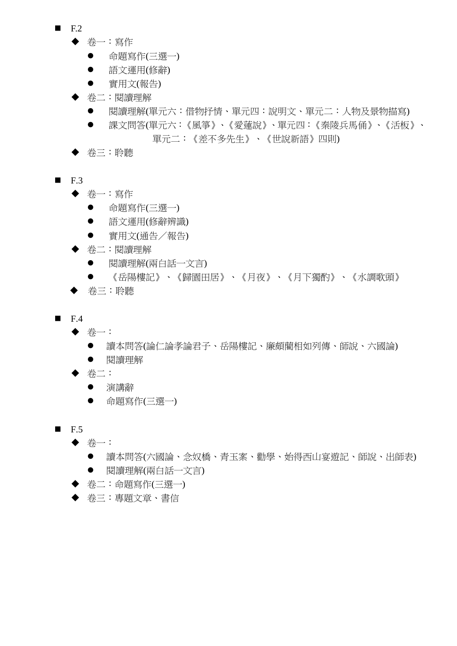- $\blacksquare$  F.2
	- 卷一:寫作
		- 命題寫作(三選一)
		- 語文運用(修辭)
		- 實用文(報告)
	- ◆ 卷二:閱讀理解
		- 閱讀理解(單元六:借物抒情、單元四:說明文、單元二:人物及景物描寫)
		- 課文問答(單元六:《風箏》、《愛蓮說》、單元四:《秦陵兵馬俑》、《活板》、 單元二:《差不多先生》、《世說新語》四則)
	- ◆ 卷三:聆聽
- $\blacksquare$  F.3
	- 卷一:寫作
		- 命題寫作(三選一)
		- 語文運用(修辭辨識)
		- 實用文(通告/報告)
	- 卷二:閱讀理解
		- 閱讀理解(兩白話一文言)
		- 《岳陽樓記》、《歸園田居》、《月夜》、《月下獨酌》、《水調歌頭》
	- 卷三:聆聽
- $\blacksquare$  F.4
	- ◆ 卷一:
		- 讀本問答(論仁論孝論君子、岳陽樓記、廉頗藺相如列傳、師說、六國論)
		- 閱讀理解
	- ◆ 卷二:
		- 演講辭
		- 命題寫作(三選一)
- $\blacksquare$  F.5
	- ◆ 卷一:
		- 讀本問答(六國論、念奴橋、青玉案、勸學、始得西山宴遊記、師說、出師表) 閱讀理解(兩白話一文言)
		-
	- ◆ 卷二:命題寫作(三選一)
	- 卷三:專題文章、書信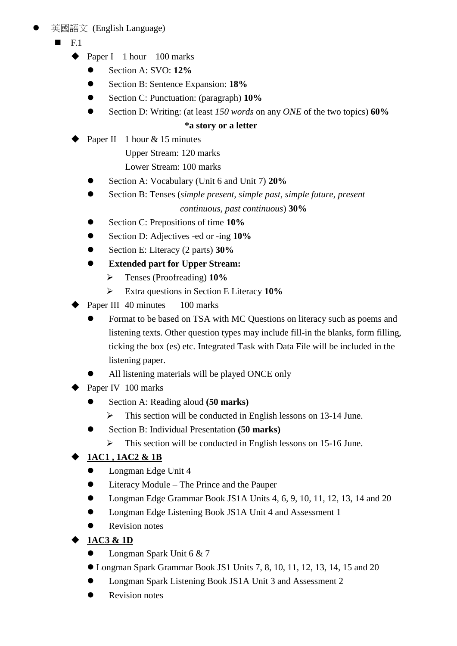# 英國語文 (English Language)

- F.1
	- ◆ Paper I 1 hour 100 marks
		- **Section A: SVO: 12%**
		- Section B: Sentence Expansion: **18%**
		- Section C: Punctuation: (paragraph) **10%**
		- Section D: Writing: (at least *150 words* on any *ONE* of the two topics) **60%**

# **\*a story or a letter**

Paper II 1 hour & 15 minutes

Upper Stream: 120 marks

Lower Stream: 100 marks

- Section A: Vocabulary (Unit 6 and Unit 7) **20%**
- Section B: Tenses (*simple present, simple past, simple future, present continuous, past continuous*) **30%**
- Section C: Prepositions of time **10%**
- Section D: Adjectives -ed or -ing **10%**
- Section E: Literacy (2 parts) **30%**
- **Extended part for Upper Stream:**
	- Tenses (Proofreading) **10%**
	- Extra questions in Section E Literacy **10%**
- Paper III 40 minutes 100 marks
	- Format to be based on TSA with MC Questions on literacy such as poems and listening texts. Other question types may include fill-in the blanks, form filling, ticking the box (es) etc. Integrated Task with Data File will be included in the listening paper.
	- All listening materials will be played ONCE only
- Paper IV 100 marks
	- Section A: Reading aloud **(50 marks)**
		- $\triangleright$  This section will be conducted in English lessons on 13-14 June.
	- Section B: Individual Presentation **(50 marks)** 
		- This section will be conducted in English lessons on 15-16 June.

# **1AC1 , 1AC2 & 1B**

- Longman Edge Unit 4
- Literacy Module The Prince and the Pauper
- Longman Edge Grammar Book JS1A Units 4, 6, 9, 10, 11, 12, 13, 14 and 20
- **•** Longman Edge Listening Book JS1A Unit 4 and Assessment 1
- Revision notes
- **1AC3 & 1D**
	- Longman Spark Unit 6 & 7
	- Longman Spark Grammar Book JS1 Units 7, 8, 10, 11, 12, 13, 14, 15 and 20
	- Longman Spark Listening Book JS1A Unit 3 and Assessment 2
	- Revision notes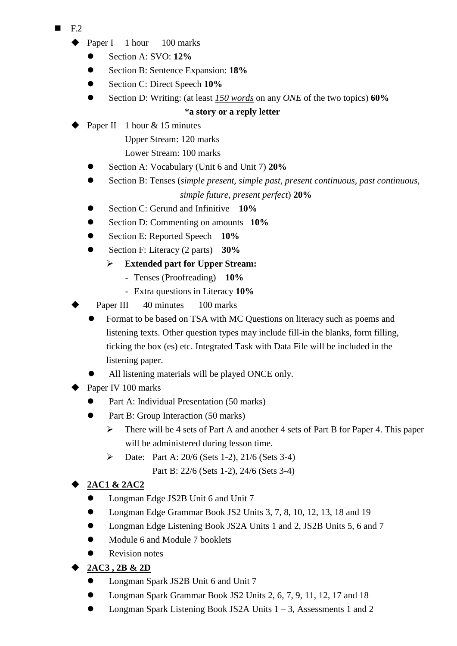- F.2
	- Paper I 1 hour 100 marks
		- **Section A: SVO: 12%**
		- Section B: Sentence Expansion: **18%**
		- Section C: Direct Speech **10%**
		- Section D: Writing: (at least *150 words* on any *ONE* of the two topics) **60%**

# \***a story or a reply letter**

- Paper II 1 hour & 15 minutes
	- Upper Stream: 120 marks
	- Lower Stream: 100 marks
	- Section A: Vocabulary (Unit 6 and Unit 7) **20%**
	- Section B: Tenses (*simple present, simple past, present continuous, past continuous, simple future, present perfect*) **20%**
	- Section C: Gerund and Infinitive **10%**
	- Section D: Commenting on amounts **10%**
	- Section E: Reported Speech **10%**
	- Section F: Literacy (2 parts) **30%** 
		- **Extended part for Upper Stream:**
			- Tenses (Proofreading) **10%**
			- Extra questions in Literacy **10%**
- Paper III 40 minutes 100 marks
	- Format to be based on TSA with MC Questions on literacy such as poems and listening texts. Other question types may include fill-in the blanks, form filling, ticking the box (es) etc. Integrated Task with Data File will be included in the listening paper.
	- All listening materials will be played ONCE only.
- Paper IV 100 marks
	- Part A: Individual Presentation (50 marks)
	- Part B: Group Interaction (50 marks)
		- $\triangleright$  There will be 4 sets of Part A and another 4 sets of Part B for Paper 4. This paper will be administered during lesson time.
		- $\triangleright$  Date: Part A: 20/6 (Sets 1-2), 21/6 (Sets 3-4) Part B: 22/6 (Sets 1-2), 24/6 (Sets 3-4)

# **2AC1 & 2AC2**

- Longman Edge JS2B Unit 6 and Unit 7
- Longman Edge Grammar Book JS2 Units 3, 7, 8, 10, 12, 13, 18 and 19
- Longman Edge Listening Book JS2A Units 1 and 2, JS2B Units 5, 6 and 7
- Module 6 and Module 7 booklets
- Revision notes
- **2AC3 , 2B & 2D**
	- Longman Spark JS2B Unit 6 and Unit 7
	- Longman Spark Grammar Book JS2 Units 2, 6, 7, 9, 11, 12, 17 and 18
	- Longman Spark Listening Book JS2A Units  $1 3$ , Assessments 1 and 2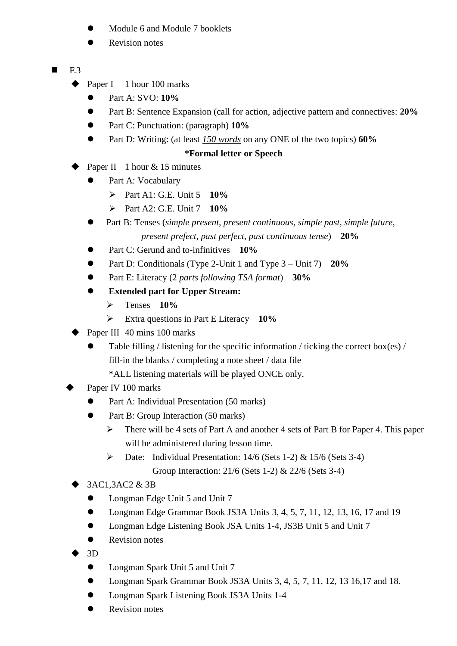- Module 6 and Module 7 booklets
- Revision notes
- $\blacksquare$  F.3
	- $\triangle$  Paper I 1 hour 100 marks
		- Part A: SVO: **10%**
		- Part B: Sentence Expansion (call for action, adjective pattern and connectives: **20%**
		- Part C: Punctuation: (paragraph) **10%**
		- Part D: Writing: (at least *150 words* on any ONE of the two topics) **60%**

# **\*Formal letter or Speech**

- Paper II 1 hour  $& 15$  minutes
	- Part A: Vocabulary
		- Part A1: G.E. Unit 5 **10%**
		- Part A2: G.E. Unit 7 **10%**
	- Part B: Tenses (*simple present, present continuous, simple past, simple future, present prefect, past perfect, past continuous tense*) **20%**
	- Part C: Gerund and to-infinitives **10%**
	- Part D: Conditionals (Type 2-Unit 1 and Type 3 Unit 7) **20%**
	- Part E: Literacy (2 *parts following TSA format*) **30%**
	- **Extended part for Upper Stream:**
		- Tenses **10%**
		- Extra questions in Part E Literacy **10%**
- Paper III 40 mins 100 marks
	- Table filling / listening for the specific information / ticking the correct box(es) / fill-in the blanks / completing a note sheet / data file
		- \*ALL listening materials will be played ONCE only.
- Paper IV 100 marks
	- Part A: Individual Presentation (50 marks)
	- Part B: Group Interaction (50 marks)
		- $\triangleright$  There will be 4 sets of Part A and another 4 sets of Part B for Paper 4. This paper will be administered during lesson time.
		- $\triangleright$  Date: Individual Presentation: 14/6 (Sets 1-2) & 15/6 (Sets 3-4) Group Interaction: 21/6 (Sets 1-2) & 22/6 (Sets 3-4)

# 3AC1,3AC2 & 3B

- Longman Edge Unit 5 and Unit 7
- Longman Edge Grammar Book JS3A Units 3, 4, 5, 7, 11, 12, 13, 16, 17 and 19
- Longman Edge Listening Book JSA Units 1-4, JS3B Unit 5 and Unit 7
- Revision notes
- 3D
	- Longman Spark Unit 5 and Unit 7
	- Longman Spark Grammar Book JS3A Units 3, 4, 5, 7, 11, 12, 13 16, 17 and 18.
	- **•** Longman Spark Listening Book JS3A Units 1-4
	- Revision notes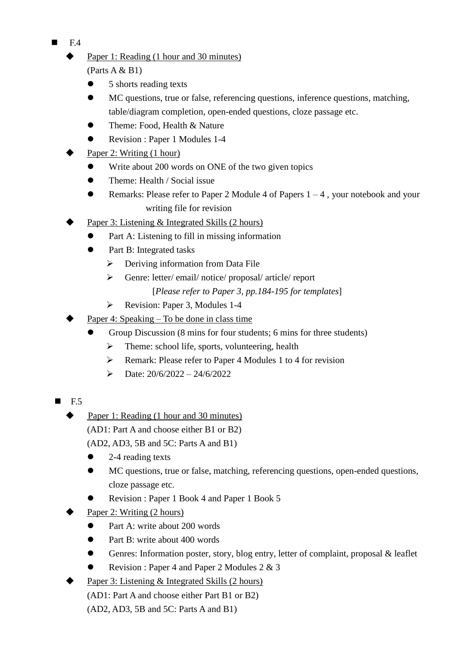- F.4
	- Paper 1: Reading (1 hour and 30 minutes)

(Parts A & B1)

- 5 shorts reading texts
- MC questions, true or false, referencing questions, inference questions, matching, table/diagram completion, open-ended questions, cloze passage etc.
- Theme: Food, Health & Nature
- Revision : Paper 1 Modules 1-4
- Paper 2: Writing (1 hour)
	- Write about 200 words on ONE of the two given topics
	- Theme: Health / Social issue
	- **•** Remarks: Please refer to Paper 2 Module 4 of Papers  $1 4$ , your notebook and your writing file for revision
- Paper 3: Listening & Integrated Skills (2 hours)
	- Part A: Listening to fill in missing information
	- Part B: Integrated tasks
		- $\triangleright$  Deriving information from Data File
		- Genre: letter/ email/ notice/ proposal/ article/ report
			- [*Please refer to Paper 3, pp.184-195 for templates*]
		- Revision: Paper 3, Modules 1-4
- Paper 4: Speaking To be done in class time
	- Group Discussion (8 mins for four students; 6 mins for three students)
		- $\triangleright$  Theme: school life, sports, volunteering, health
		- $\triangleright$  Remark: Please refer to Paper 4 Modules 1 to 4 for revision
		- $\triangleright$  Date: 20/6/2022 24/6/2022
- $\blacksquare$  F.5
	- Paper 1: Reading (1 hour and 30 minutes) (AD1: Part A and choose either B1 or B2) (AD2, AD3, 5B and 5C: Parts A and B1)
		- 2-4 reading texts
		- MC questions, true or false, matching, referencing questions, open-ended questions, cloze passage etc.
		- Revision : Paper 1 Book 4 and Paper 1 Book 5
	- Paper 2: Writing (2 hours)
		- Part A: write about 200 words
		- Part B: write about 400 words
		- Genres: Information poster, story, blog entry, letter of complaint, proposal & leaflet
		- Revision : Paper 4 and Paper 2 Modules 2 & 3
	- Paper 3: Listening & Integrated Skills (2 hours)
		- (AD1: Part A and choose either Part B1 or B2)
		- (AD2, AD3, 5B and 5C: Parts A and B1)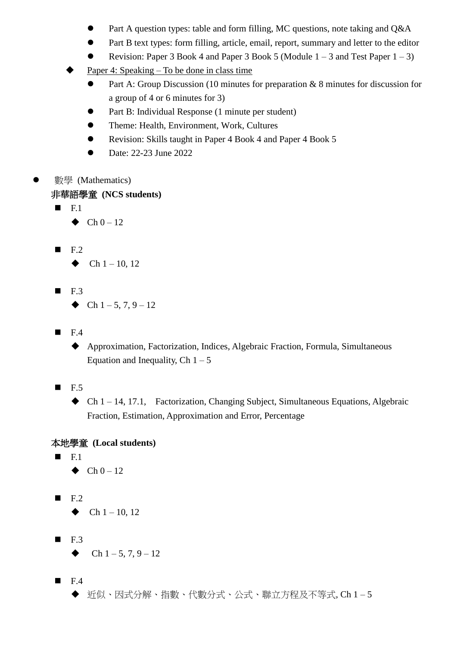- Part A question types: table and form filling, MC questions, note taking and Q&A
- Part B text types: form filling, article, email, report, summary and letter to the editor
- Revision: Paper 3 Book 4 and Paper 3 Book 5 (Module  $1 3$  and Test Paper  $1 3$ )
- Paper 4: Speaking To be done in class time
	- Part A: Group Discussion (10 minutes for preparation & 8 minutes for discussion for a group of 4 or 6 minutes for 3)
	- Part B: Individual Response (1 minute per student)
	- Theme: Health, Environment, Work, Cultures
	- Revision: Skills taught in Paper 4 Book 4 and Paper 4 Book 5
	- Date: 22-23 June 2022
- 數學 (Mathematics)

#### 非華語學童 **(NCS students)**

 $\blacksquare$  F.1

 $\blacklozenge$  Ch 0 – 12

- $F.2$ 
	- $\blacklozenge$  Ch 1 10, 12
- $\blacksquare$  F.3
	- Ch  $1 5$ , 7, 9 12
- $\blacksquare$  F.4
	- Approximation, Factorization, Indices, Algebraic Fraction, Formula, Simultaneous Equation and Inequality, Ch  $1 - 5$
- $\blacksquare$  F.5
	- $\blacklozenge$  Ch 1 14, 17.1, Factorization, Changing Subject, Simultaneous Equations, Algebraic Fraction, Estimation, Approximation and Error, Percentage

### 本地學童 **(Local students)**

- $\blacksquare$  F.1
	- $\blacklozenge$  Ch  $0 12$
- $\blacksquare$  F.2

 $\blacklozenge$  Ch 1 – 10, 12

- $\blacksquare$  F.3
	- Ch  $1 5, 7, 9 12$

 $\blacksquare$  F.4 近似、因式分解、指數、代數分式、公式、聯立方程及不等式, Ch 1 – 5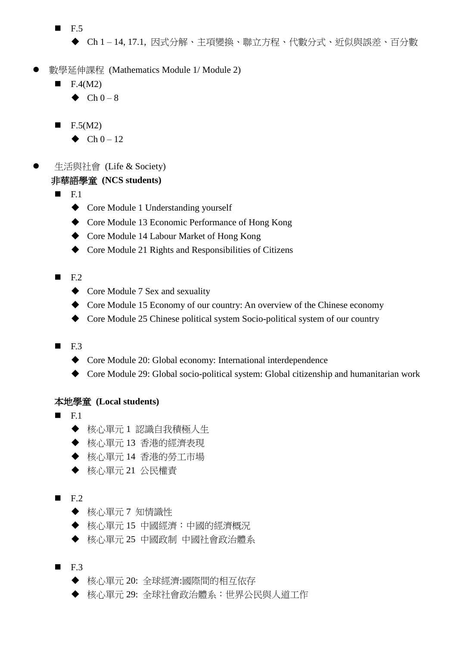- $\blacksquare$  F.5
	- Ch 1 14, 17.1, 因式分解、主項變換、聯立方程、代數分式、近似與誤差、百分數
- 數學延伸課程 (Mathematics Module 1/ Module 2)
	- F.4(M2)
		- $\triangle$  Ch 0 8
	- $\blacksquare$  F.5(M2)
		- $\bullet$  Ch 0 12
- 生活與社會 (Life & Society) 非華語學童 **(NCS students)**
	- $\blacksquare$ F.1
		- ◆ Core Module 1 Understanding yourself
		- ◆ Core Module 13 Economic Performance of Hong Kong
		- Core Module 14 Labour Market of Hong Kong
		- Core Module 21 Rights and Responsibilities of Citizens
	- $\blacksquare$  F.2
		- ◆ Core Module 7 Sex and sexuality
		- Core Module 15 Economy of our country: An overview of the Chinese economy
		- Core Module 25 Chinese political system Socio-political system of our country
	- $\blacksquare$  F.3
		- Core Module 20: Global economy: International interdependence
		- Core Module 29: Global socio-political system: Global citizenship and humanitarian work

- F.1
	- ◆ 核心單元 1 認識自我積極人生
	- ◆ 核心單元 13 香港的經濟表現
	- ◆ 核心單元 14 香港的勞工市場
	- 核心單元 21 公民權責
- $F.2$ 
	- ◆ 核心單元 7 知情識性
	- ◆ 核心單元 15 中國經濟: 中國的經濟概況
	- ◆ 核心單元 25 中國政制 中國社會政治體系
- $F.3$ 
	- ◆ 核心單元 20: 全球經濟:國際間的相互依存
	- ◆ 核心單元 29: 全球社會政治體系:世界公民與人道工作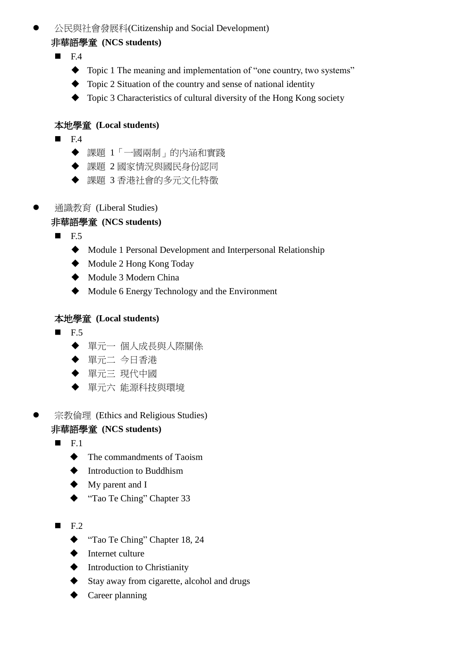### 公民與社會發展科(Citizenship and Social Development)

#### 非華語學童 **(NCS students)**

 $\blacksquare$ F4

- Topic 1 The meaning and implementation of "one country, two systems"
- $\blacklozenge$  Topic 2 Situation of the country and sense of national identity
- ◆ Topic 3 Characteristics of cultural diversity of the Hong Kong society

# 本地學童 **(Local students)**

- $F.4$ 
	- 課題 1「一國兩制」的內涵和實踐
	- ◆ 課題 2 國家情況與國民身份認同
	- 課題 3 香港社會的多元文化特徵
- 通識教育 (Liberal Studies)

# 非華語學童 **(NCS students)**

- $\blacksquare$  F.5
	- Module 1 Personal Development and Interpersonal Relationship
	- ◆ Module 2 Hong Kong Today
	- ◆ Module 3 Modern China
	- Module 6 Energy Technology and the Environment

# 本地學童 **(Local students)**

- $F.5$ 
	- ◆ 單元一 個人成長與人際關係
	- 單元二 今日香港
	- 單元三 現代中國
	- 單元六 能源科技與環境
- 宗教倫理 (Ethics and Religious Studies)

# 非華語學童 **(NCS students)**

- $F.1$ 
	- $\blacklozenge$  The commandments of Taoism
	- $\blacklozenge$  Introduction to Buddhism
	- My parent and I
	- ◆ "Tao Te Ching" Chapter 33
- $\blacksquare$  F.2
	- ◆ "Tao Te Ching" Chapter 18, 24
	- $\blacklozenge$  Internet culture
	- $\blacklozenge$  Introduction to Christianity
	- Stay away from cigarette, alcohol and drugs
	- ◆ Career planning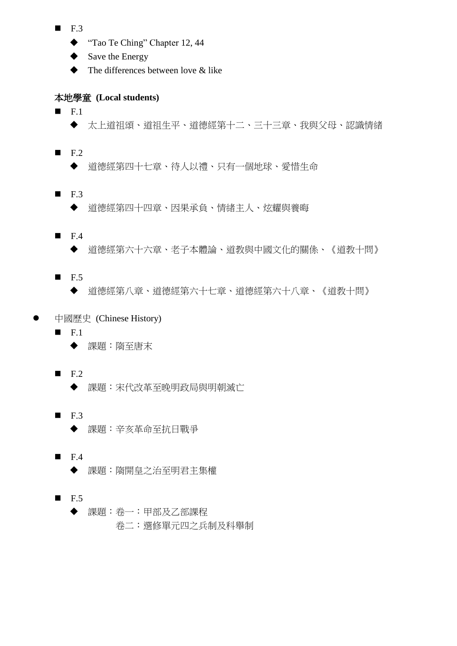- $\blacksquare$  F.3
	- ◆ "Tao Te Ching" Chapter 12, 44
	- $\blacklozenge$  Save the Energy
	- $\blacklozenge$  The differences between love & like

- $\blacksquare$ F.1
	- 太上道祖頌、道祖生平、道德經第十二、三十三章、我與父母、認識情緒
- $F.2$ 
	- ◆ 道德經第四十七章、待人以禮、只有一個地球、愛惜生命
- $\blacksquare$  F.3
	- 道德經第四十四章、因果承負、情緒主人、炫耀與養晦
- $F.4$ 
	- 道德經第六十六章、老子本體論、道教與中國文化的關係、《道教十問》
- $\blacksquare$  F.5
	- 道德經第八章、道德經第六十七章、道德經第六十八章、《道教十問》
- 中國歷史 (Chinese History)
	- $\blacksquare$  F.1
		- 課題:隋至唐末
	- $\blacksquare$  F.2
		- 課題:宋代改革至晚明政局與明朝滅亡
	- $F.3$ 課題:辛亥革命至抗日戰爭
	- $F.4$ 
		- 課題:隋開皇之治至明君主集權
	- $\blacksquare$  F.5 課題:卷一:甲部及乙部課程 卷二:選修單元四之兵制及科舉制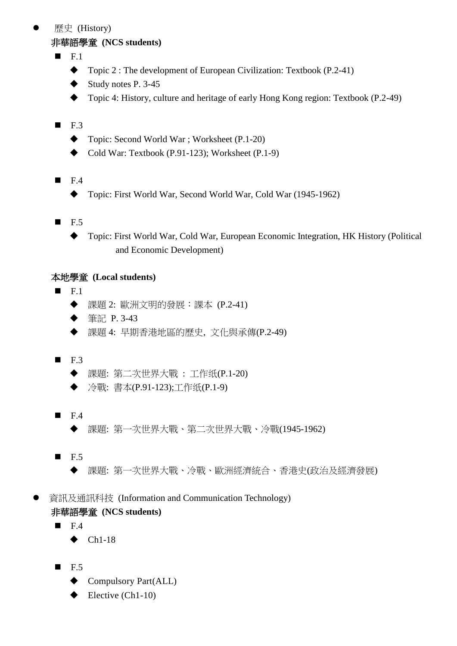# 歷史 (History)

### 非華語學童 **(NCS students)**

- $F1$ 
	- ◆ Topic 2 : The development of European Civilization: Textbook (P.2-41)
	- $\blacklozenge$  Study notes P. 3-45
	- ◆ Topic 4: History, culture and heritage of early Hong Kong region: Textbook (P.2-49)

# $\blacksquare$  F.3

- ◆ Topic: Second World War ; Worksheet (P.1-20)
- $\blacklozenge$  Cold War: Textbook (P.91-123); Worksheet (P.1-9)
- $\blacksquare$  F.4
	- ◆ Topic: First World War, Second World War, Cold War (1945-1962)
- $\blacksquare$  F.5
	- Topic: First World War, Cold War, European Economic Integration, HK History (Political and Economic Development)

- $\blacksquare$  F.1
	- 課題 2: 歐洲文明的發展:課本 (P.2-41)
	- ◆ 筆記 P. 3-43
	- 課題 4: 早期香港地區的歷史, 文化與承傳(P.2-49)
- $\blacksquare$  F.3
	- 課題: 第二次世界大戰 : 工作纸(P.1-20)
	- ◆ 冷戰: 書本(P.91-123);工作纸(P.1-9)
- $\blacksquare$  F.4
	- 課題: 第一次世界大戰、第二次世界大戰、冷戰(1945-1962)
- $\blacksquare$  F.5
	- 課題: 第一次世界大戰、冷戰、歐洲經濟統合、香港史(政治及經濟發展)
- 資訊及通訊科技 (Information and Communication Technology) 非華語學童 **(NCS students)**
	- $\blacksquare$ F.4
		- $\blacklozenge$  Ch1-18
	- $F.5$ 
		- ◆ Compulsory Part(ALL)
		- $\blacklozenge$  Elective (Ch<sub>1</sub>-10)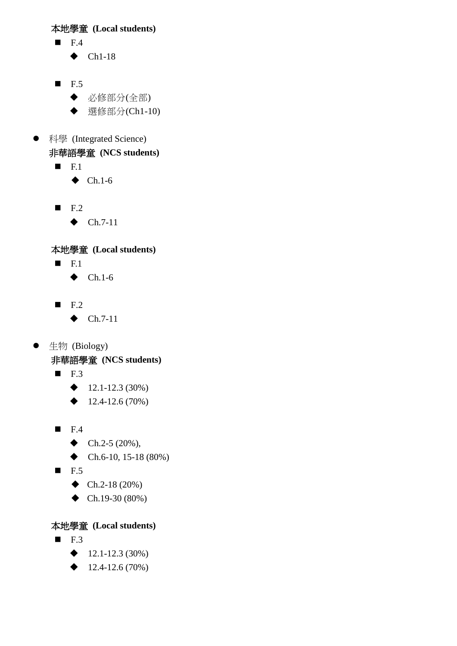- $\blacksquare$  F.4
	- $\blacklozenge$  Ch1-18
- $F.5$ 
	- 必修部分(全部)
	- ◆ 選修部分(Ch1-10)
- 科學 (Integrated Science)

# 非華語學童 **(NCS students)**

- $\blacksquare$  F.1
	- $\blacklozenge$  Ch.1-6
- $\blacksquare$  F.2
	- $\blacklozenge$  Ch.7-11

# 本地學童 **(Local students)**

- $\blacksquare$  F.1
	- $\blacklozenge$  Ch.1-6
- $\blacksquare$  F.2
	- $\blacklozenge$  Ch.7-11
- 生物 (Biology)

非華語學童 **(NCS students)**

- $\blacksquare$  F.3
	- $\blacklozenge$  12.1-12.3 (30%)
	- $\triangleleft$  12.4-12.6 (70%)
- $F.4$ 
	- $\blacklozenge$  Ch.2-5 (20%),
	- $\blacklozenge$  Ch.6-10, 15-18 (80%)
- $\blacksquare$  F.5
	- $\blacklozenge$  Ch.2-18 (20%)
	- $\blacklozenge$  Ch.19-30 (80%)

- $\blacksquare$  F.3
	- $\triangleleft$  12.1-12.3 (30%)
	- $\triangleleft$  12.4-12.6 (70%)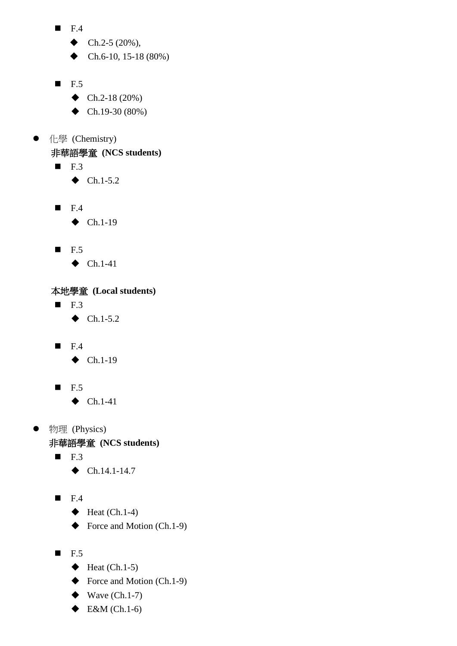- $\blacksquare$  F.4
	- $\blacklozenge$  Ch.2-5 (20%),
	- $\blacklozenge$  Ch.6-10, 15-18 (80%)
- $\blacksquare$  F.5
	- $\blacklozenge$  Ch.2-18 (20%)
	- $\blacklozenge$  Ch.19-30 (80%)
- 化學 (Chemistry)

非華語學童 **(NCS students)**

- $\blacksquare$  F.3
	- $\blacklozenge$  Ch.1-5.2
- $\blacksquare$  F.4
	- $\blacklozenge$  Ch.1-19
- $\blacksquare$  F.5
	- $\blacklozenge$  Ch.1-41

# 本地學童 **(Local students)**

- $\blacksquare$  F.3
	- $\blacklozenge$  Ch.1-5.2
- $\blacksquare$  F.4
	- $\blacklozenge$  Ch.1-19
- $\blacksquare$  F.5
	- $\blacklozenge$  Ch.1-41
- 物理 (Physics)

非華語學童 **(NCS students)**

- $\blacksquare$  F.3
	- $\bullet$  Ch.14.1-14.7
- $F.4$ 
	- $\blacklozenge$  Heat (Ch.1-4)
	- $\blacklozenge$  Force and Motion (Ch.1-9)
- $\blacksquare$  F.5
	- $\blacklozenge$  Heat (Ch.1-5)
	- $\blacklozenge$  Force and Motion (Ch.1-9)
	- $\blacklozenge$  Wave (Ch.1-7)
	- $\blacklozenge$  E&M (Ch.1-6)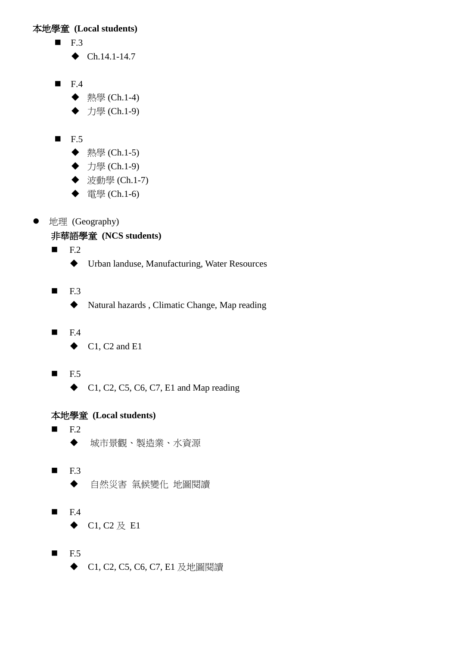- $\blacksquare$  F.3
	- $\blacklozenge$  Ch.14.1-14.7
- $\blacksquare$  F.4
	- ◆ 熱學 (Ch.1-4)
	- ◆ 力學 (Ch.1-9)
- $\blacksquare$  F.5
	- ◆ 熱學 (Ch.1-5)
	- ◆ 力學 (Ch.1-9)
	- ◆ 波動學 (Ch.1-7)
	- ◆ 電學 (Ch.1-6)
- 地理 (Geography)

# 非華語學童 **(NCS students)**

 $F.2$ 

- Urban landuse, Manufacturing, Water Resources
- $F.3$ 
	- Natural hazards , Climatic Change, Map reading
- $F.4$ 
	- $\bullet$  C1, C2 and E1
- $F.5$ 
	- $\bullet$  C1, C2, C5, C6, C7, E1 and Map reading

- $F.2$ 城市景觀、製造業、水資源
- $F.3$ ◆ 自然災害 氣候變化 地圖閱讀
- $F.4$ 
	- $\blacklozenge$  C1, C2  $\not\!\!\!\!\nabla$  E1
- $F.5$ 
	- ◆ C1, C2, C5, C6, C7, E1 及地圖閱讀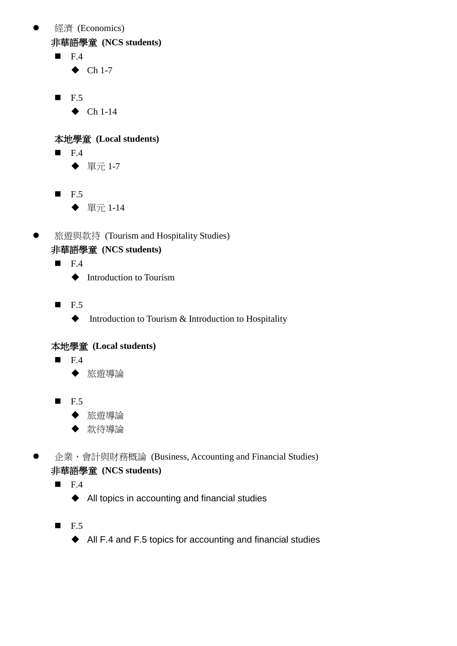● 經濟 (Economics)

非華語學童 **(NCS students)**

 $\blacksquare$  F.4

 $\blacklozenge$  Ch 1-7

- $\blacksquare$  F.5
	- $\blacklozenge$  Ch 1-14

本地學童 **(Local students)**

- $\blacksquare$  F.4
	- ◆ 單元 1-7
- $\blacksquare$  F.5
	- ◆ 單元 1-14
- **●** 旅遊與款待 (Tourism and Hospitality Studies) 非華語學童 **(NCS students)**
	- $\blacksquare$  F.4
		- $\blacklozenge$  Introduction to Tourism
	- $\blacksquare$  F.5
		- $\blacklozenge$  Introduction to Tourism & Introduction to Hospitality

# 本地學童 **(Local students)**

- $\blacksquare$  F.4
	- 旅遊導論
- $\blacksquare$  F.5
	- 旅遊導論
	- ◆ 款待導論

● 企業、會計與財務概論 (Business, Accounting and Financial Studies) 非華語學童 **(NCS students)**

- $\blacksquare$  F.4
	- ◆ All topics in accounting and financial studies
- $F.5$ 
	- ◆ All F.4 and F.5 topics for accounting and financial studies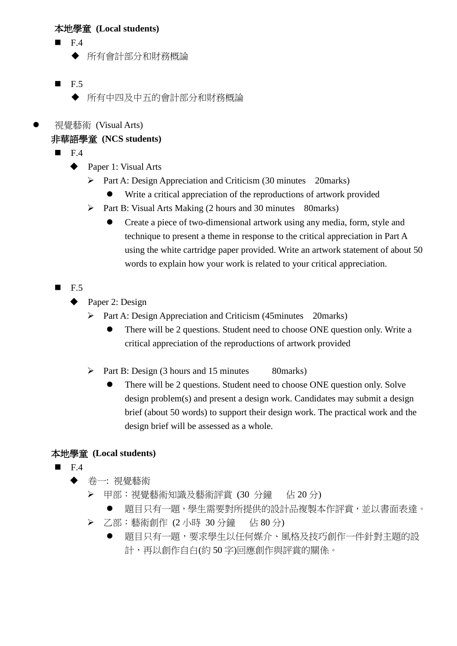- F.4
	- 所有會計部分和財務概論
- $\blacksquare$  F.5
	- 所有中四及中五的會計部分和財務概論
- 視覺藝術 (Visual Arts)

# 非華語學童 **(NCS students)**

- F.4
	- ◆ Paper 1: Visual Arts
		- $\triangleright$  Part A: Design Appreciation and Criticism (30 minutes 20marks)
			- Write a critical appreciation of the reproductions of artwork provided
		- $\triangleright$  Part B: Visual Arts Making (2 hours and 30 minutes 80marks)
			- Create a piece of two-dimensional artwork using any media, form, style and technique to present a theme in response to the critical appreciation in Part A using the white cartridge paper provided. Write an artwork statement of about 50 words to explain how your work is related to your critical appreciation.
- $\blacksquare$  F.5
	- Paper 2: Design
		- $\triangleright$  Part A: Design Appreciation and Criticism (45minutes 20marks)
			- There will be 2 questions. Student need to choose ONE question only. Write a critical appreciation of the reproductions of artwork provided
		- $\triangleright$  Part B: Design (3 hours and 15 minutes 80 marks)
			- There will be 2 questions. Student need to choose ONE question only. Solve design problem(s) and present a design work. Candidates may submit a design brief (about 50 words) to support their design work. The practical work and the design brief will be assessed as a whole.

- F.4
	- 卷一: 視覺藝術
		- ▶ 甲部: 視覺藝術知識及藝術評賞 (30 分鐘 佔 20 分)
			- 題目只有一題,學生需要對所提供的設計品複製本作評賞,並以書面表達。
		- ▶ 乙部: 藝術創作 (2 小時 30 分鐘 估 80 分)
			- 題目只有一題,要求學生以任何媒介、風格及技巧創作一件針對主題的設 計,再以創作自白(約 50 字)回應創作與評賞的關係。